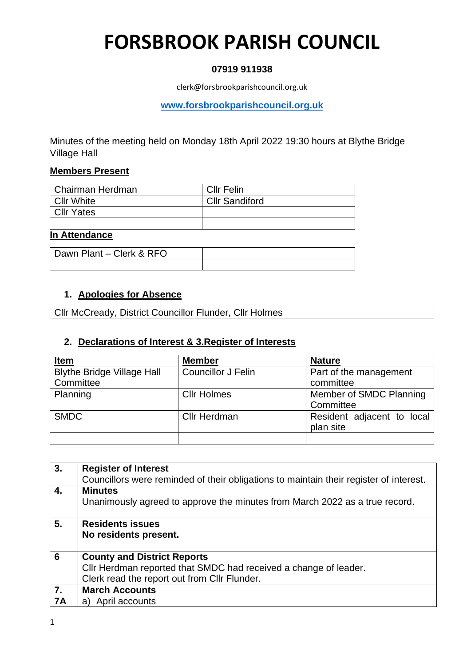### **07919 911938**

clerk@forsbrookparishcouncil.org.uk

**[www.forsbrookparishcouncil.org.uk](http://www.forsbrookparishcouncil.org.uk/)** 

Minutes of the meeting held on Monday 18th April 2022 19:30 hours at Blythe Bridge Village Hall

### **Members Present**

| Chairman Herdman  | <b>CIIr Felin</b>     |
|-------------------|-----------------------|
| l Cllr White      | <b>Cllr Sandiford</b> |
| <b>Cllr Yates</b> |                       |
|                   |                       |

### **In Attendance**

| Dawn Plant - Clerk & RFO |  |
|--------------------------|--|
|                          |  |

### **1. Apologies for Absence**

Cllr McCready, District Councillor Flunder, Cllr Holmes

### **2. Declarations of Interest & 3.Register of Interests**

| <b>Item</b>                                    | <b>Member</b>             | <b>Nature</b>                           |
|------------------------------------------------|---------------------------|-----------------------------------------|
| <b>Blythe Bridge Village Hall</b><br>Committee | <b>Councillor J Felin</b> | Part of the management<br>committee     |
| Planning                                       | <b>Cllr Holmes</b>        | Member of SMDC Planning<br>Committee    |
| <b>SMDC</b>                                    | <b>Cllr Herdman</b>       | Resident adjacent to local<br>plan site |
|                                                |                           |                                         |

| 3.               | <b>Register of Interest</b>                                                                                      |
|------------------|------------------------------------------------------------------------------------------------------------------|
|                  | Councillors were reminded of their obligations to maintain their register of interest.                           |
| $\overline{4}$ . | <b>Minutes</b>                                                                                                   |
|                  | Unanimously agreed to approve the minutes from March 2022 as a true record.                                      |
|                  |                                                                                                                  |
| 5.               | <b>Residents issues</b>                                                                                          |
|                  | No residents present.                                                                                            |
|                  |                                                                                                                  |
| $\overline{6}$   | <b>County and District Reports</b>                                                                               |
|                  |                                                                                                                  |
|                  |                                                                                                                  |
|                  | Cllr Herdman reported that SMDC had received a change of leader.<br>Clerk read the report out from Cllr Flunder. |
| 7.               | <b>March Accounts</b>                                                                                            |
| <b>7A</b>        | a) April accounts                                                                                                |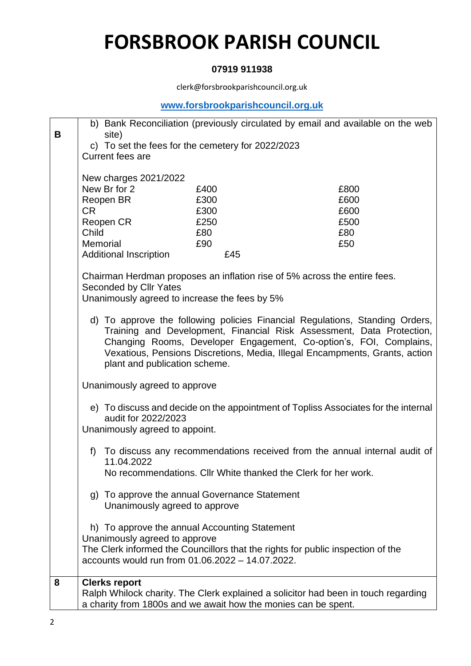### **07919 911938**

clerk@forsbrookparishcouncil.org.uk

### **[www.forsbrookparishcouncil.org.uk](http://www.forsbrookparishcouncil.org.uk/)**

| B | site)                                                                             |              | b) Bank Reconciliation (previously circulated by email and available on the web                                                                                                                                                                                                                            |
|---|-----------------------------------------------------------------------------------|--------------|------------------------------------------------------------------------------------------------------------------------------------------------------------------------------------------------------------------------------------------------------------------------------------------------------------|
|   | c) To set the fees for the cemetery for 2022/2023                                 |              |                                                                                                                                                                                                                                                                                                            |
|   | <b>Current fees are</b>                                                           |              |                                                                                                                                                                                                                                                                                                            |
|   | New charges 2021/2022                                                             |              |                                                                                                                                                                                                                                                                                                            |
|   | New Br for 2                                                                      | £400<br>£300 | £800<br>£600                                                                                                                                                                                                                                                                                               |
|   | Reopen BR<br>CR.                                                                  | £300         | £600                                                                                                                                                                                                                                                                                                       |
|   | Reopen CR                                                                         | £250         | £500                                                                                                                                                                                                                                                                                                       |
|   | Child<br>Memorial                                                                 | £80<br>£90   | £80<br>£50                                                                                                                                                                                                                                                                                                 |
|   | <b>Additional Inscription</b>                                                     | £45          |                                                                                                                                                                                                                                                                                                            |
|   |                                                                                   |              | Chairman Herdman proposes an inflation rise of 5% across the entire fees.                                                                                                                                                                                                                                  |
|   | Seconded by Cllr Yates                                                            |              |                                                                                                                                                                                                                                                                                                            |
|   | Unanimously agreed to increase the fees by 5%                                     |              |                                                                                                                                                                                                                                                                                                            |
|   | plant and publication scheme.                                                     |              | d) To approve the following policies Financial Regulations, Standing Orders,<br>Training and Development, Financial Risk Assessment, Data Protection,<br>Changing Rooms, Developer Engagement, Co-option's, FOI, Complains,<br>Vexatious, Pensions Discretions, Media, Illegal Encampments, Grants, action |
|   | Unanimously agreed to approve                                                     |              |                                                                                                                                                                                                                                                                                                            |
|   | audit for 2022/2023                                                               |              | e) To discuss and decide on the appointment of Topliss Associates for the internal                                                                                                                                                                                                                         |
|   | Unanimously agreed to appoint.                                                    |              |                                                                                                                                                                                                                                                                                                            |
|   | f)<br>11.04.2022                                                                  |              | To discuss any recommendations received from the annual internal audit of                                                                                                                                                                                                                                  |
|   |                                                                                   |              | No recommendations. Cllr White thanked the Clerk for her work.                                                                                                                                                                                                                                             |
|   | To approve the annual Governance Statement<br>g)<br>Unanimously agreed to approve |              |                                                                                                                                                                                                                                                                                                            |
|   | h) To approve the annual Accounting Statement                                     |              |                                                                                                                                                                                                                                                                                                            |
|   | Unanimously agreed to approve                                                     |              |                                                                                                                                                                                                                                                                                                            |
|   | accounts would run from 01.06.2022 - 14.07.2022.                                  |              | The Clerk informed the Councillors that the rights for public inspection of the                                                                                                                                                                                                                            |
| 8 | <b>Clerks report</b>                                                              |              |                                                                                                                                                                                                                                                                                                            |
|   | a charity from 1800s and we await how the monies can be spent.                    |              | Ralph Whilock charity. The Clerk explained a solicitor had been in touch regarding                                                                                                                                                                                                                         |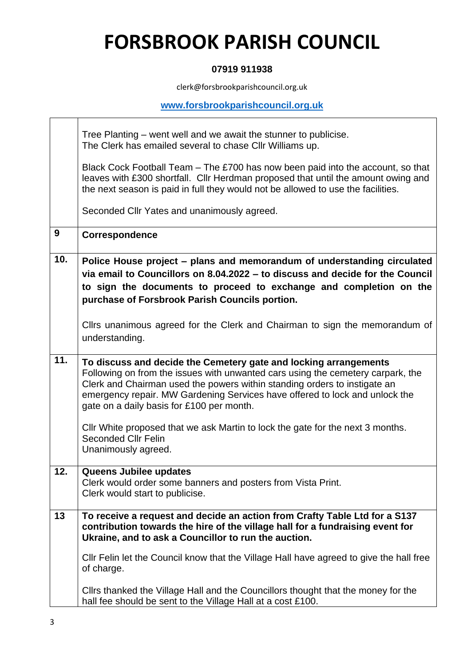### **07919 911938**

clerk@forsbrookparishcouncil.org.uk

### **[www.forsbrookparishcouncil.org.uk](http://www.forsbrookparishcouncil.org.uk/)**

┑

|     | Tree Planting – went well and we await the stunner to publicise.<br>The Clerk has emailed several to chase Cllr Williams up.                                                                                                                                                                                                                                 |
|-----|--------------------------------------------------------------------------------------------------------------------------------------------------------------------------------------------------------------------------------------------------------------------------------------------------------------------------------------------------------------|
|     | Black Cock Football Team – The £700 has now been paid into the account, so that<br>leaves with £300 shortfall. Cllr Herdman proposed that until the amount owing and<br>the next season is paid in full they would not be allowed to use the facilities.                                                                                                     |
|     | Seconded Cllr Yates and unanimously agreed.                                                                                                                                                                                                                                                                                                                  |
| 9   | Correspondence                                                                                                                                                                                                                                                                                                                                               |
| 10. | Police House project – plans and memorandum of understanding circulated<br>via email to Councillors on 8.04.2022 - to discuss and decide for the Council<br>to sign the documents to proceed to exchange and completion on the<br>purchase of Forsbrook Parish Councils portion.                                                                             |
|     | Cllrs unanimous agreed for the Clerk and Chairman to sign the memorandum of<br>understanding.                                                                                                                                                                                                                                                                |
| 11. | To discuss and decide the Cemetery gate and locking arrangements<br>Following on from the issues with unwanted cars using the cemetery carpark, the<br>Clerk and Chairman used the powers within standing orders to instigate an<br>emergency repair. MW Gardening Services have offered to lock and unlock the<br>gate on a daily basis for £100 per month. |
|     | Cllr White proposed that we ask Martin to lock the gate for the next 3 months.<br><b>Seconded Cllr Felin</b><br>Unanimously agreed.                                                                                                                                                                                                                          |
| 12. | Queens Jubilee updates<br>Clerk would order some banners and posters from Vista Print.<br>Clerk would start to publicise.                                                                                                                                                                                                                                    |
| 13  | To receive a request and decide an action from Crafty Table Ltd for a S137<br>contribution towards the hire of the village hall for a fundraising event for<br>Ukraine, and to ask a Councillor to run the auction.                                                                                                                                          |
|     | CIIr Felin let the Council know that the Village Hall have agreed to give the hall free<br>of charge.                                                                                                                                                                                                                                                        |
|     | Clirs thanked the Village Hall and the Councillors thought that the money for the<br>hall fee should be sent to the Village Hall at a cost £100.                                                                                                                                                                                                             |

 $\sqrt{1-\frac{1}{2}}$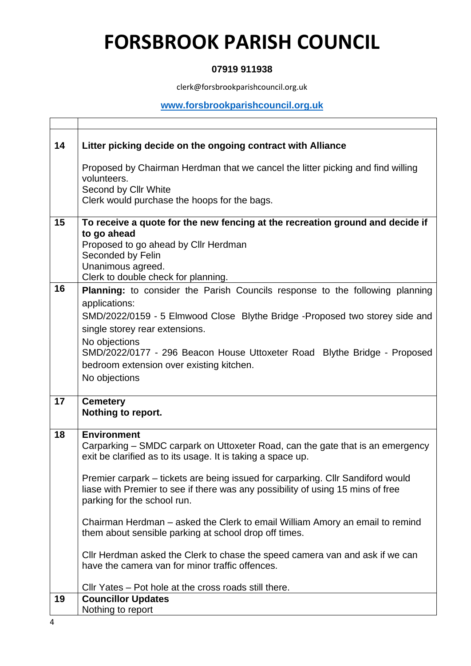### **07919 911938**

clerk@forsbrookparishcouncil.org.uk

### **[www.forsbrookparishcouncil.org.uk](http://www.forsbrookparishcouncil.org.uk/)**

٦

| 14 | Litter picking decide on the ongoing contract with Alliance                                                                                                                                                                                                                                                                                                                                                                                                                                                                                                                                                                                                                                                                               |
|----|-------------------------------------------------------------------------------------------------------------------------------------------------------------------------------------------------------------------------------------------------------------------------------------------------------------------------------------------------------------------------------------------------------------------------------------------------------------------------------------------------------------------------------------------------------------------------------------------------------------------------------------------------------------------------------------------------------------------------------------------|
|    | Proposed by Chairman Herdman that we cancel the litter picking and find willing                                                                                                                                                                                                                                                                                                                                                                                                                                                                                                                                                                                                                                                           |
|    | volunteers.<br>Second by Cllr White                                                                                                                                                                                                                                                                                                                                                                                                                                                                                                                                                                                                                                                                                                       |
|    | Clerk would purchase the hoops for the bags.                                                                                                                                                                                                                                                                                                                                                                                                                                                                                                                                                                                                                                                                                              |
|    |                                                                                                                                                                                                                                                                                                                                                                                                                                                                                                                                                                                                                                                                                                                                           |
| 15 | To receive a quote for the new fencing at the recreation ground and decide if                                                                                                                                                                                                                                                                                                                                                                                                                                                                                                                                                                                                                                                             |
|    | to go ahead<br>Proposed to go ahead by Cllr Herdman                                                                                                                                                                                                                                                                                                                                                                                                                                                                                                                                                                                                                                                                                       |
|    | Seconded by Felin                                                                                                                                                                                                                                                                                                                                                                                                                                                                                                                                                                                                                                                                                                                         |
|    | Unanimous agreed.                                                                                                                                                                                                                                                                                                                                                                                                                                                                                                                                                                                                                                                                                                                         |
|    | Clerk to double check for planning.                                                                                                                                                                                                                                                                                                                                                                                                                                                                                                                                                                                                                                                                                                       |
| 16 | <b>Planning:</b> to consider the Parish Councils response to the following planning                                                                                                                                                                                                                                                                                                                                                                                                                                                                                                                                                                                                                                                       |
|    |                                                                                                                                                                                                                                                                                                                                                                                                                                                                                                                                                                                                                                                                                                                                           |
|    |                                                                                                                                                                                                                                                                                                                                                                                                                                                                                                                                                                                                                                                                                                                                           |
|    |                                                                                                                                                                                                                                                                                                                                                                                                                                                                                                                                                                                                                                                                                                                                           |
|    |                                                                                                                                                                                                                                                                                                                                                                                                                                                                                                                                                                                                                                                                                                                                           |
|    |                                                                                                                                                                                                                                                                                                                                                                                                                                                                                                                                                                                                                                                                                                                                           |
|    |                                                                                                                                                                                                                                                                                                                                                                                                                                                                                                                                                                                                                                                                                                                                           |
|    |                                                                                                                                                                                                                                                                                                                                                                                                                                                                                                                                                                                                                                                                                                                                           |
| 17 | <b>Cemetery</b>                                                                                                                                                                                                                                                                                                                                                                                                                                                                                                                                                                                                                                                                                                                           |
|    |                                                                                                                                                                                                                                                                                                                                                                                                                                                                                                                                                                                                                                                                                                                                           |
|    |                                                                                                                                                                                                                                                                                                                                                                                                                                                                                                                                                                                                                                                                                                                                           |
|    | Carparking – SMDC carpark on Uttoxeter Road, can the gate that is an emergency                                                                                                                                                                                                                                                                                                                                                                                                                                                                                                                                                                                                                                                            |
|    | exit be clarified as to its usage. It is taking a space up.                                                                                                                                                                                                                                                                                                                                                                                                                                                                                                                                                                                                                                                                               |
|    |                                                                                                                                                                                                                                                                                                                                                                                                                                                                                                                                                                                                                                                                                                                                           |
|    |                                                                                                                                                                                                                                                                                                                                                                                                                                                                                                                                                                                                                                                                                                                                           |
|    | parking for the school run.                                                                                                                                                                                                                                                                                                                                                                                                                                                                                                                                                                                                                                                                                                               |
|    |                                                                                                                                                                                                                                                                                                                                                                                                                                                                                                                                                                                                                                                                                                                                           |
|    |                                                                                                                                                                                                                                                                                                                                                                                                                                                                                                                                                                                                                                                                                                                                           |
|    |                                                                                                                                                                                                                                                                                                                                                                                                                                                                                                                                                                                                                                                                                                                                           |
|    | Cllr Herdman asked the Clerk to chase the speed camera van and ask if we can                                                                                                                                                                                                                                                                                                                                                                                                                                                                                                                                                                                                                                                              |
|    | have the camera van for minor traffic offences.                                                                                                                                                                                                                                                                                                                                                                                                                                                                                                                                                                                                                                                                                           |
|    |                                                                                                                                                                                                                                                                                                                                                                                                                                                                                                                                                                                                                                                                                                                                           |
| 19 |                                                                                                                                                                                                                                                                                                                                                                                                                                                                                                                                                                                                                                                                                                                                           |
|    | Nothing to report                                                                                                                                                                                                                                                                                                                                                                                                                                                                                                                                                                                                                                                                                                                         |
| 18 | applications:<br>SMD/2022/0159 - 5 Elmwood Close Blythe Bridge -Proposed two storey side and<br>single storey rear extensions.<br>No objections<br>SMD/2022/0177 - 296 Beacon House Uttoxeter Road Blythe Bridge - Proposed<br>bedroom extension over existing kitchen.<br>No objections<br>Nothing to report.<br><b>Environment</b><br>Premier carpark - tickets are being issued for carparking. Cllr Sandiford would<br>liase with Premier to see if there was any possibility of using 15 mins of free<br>Chairman Herdman – asked the Clerk to email William Amory an email to remind<br>them about sensible parking at school drop off times.<br>Cllr Yates - Pot hole at the cross roads still there.<br><b>Councillor Updates</b> |

 $\sqrt{1-\frac{1}{2}}$